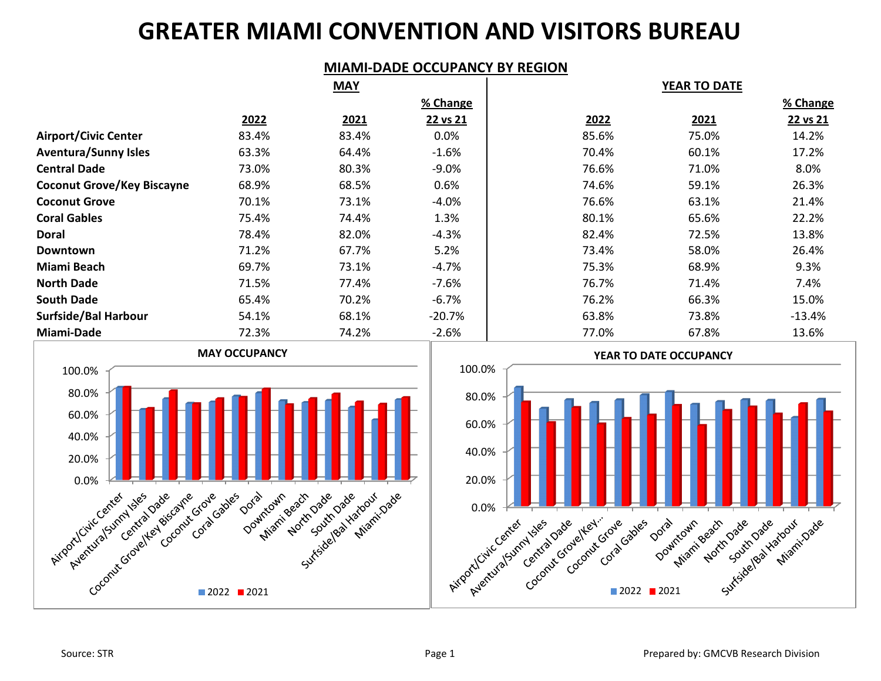## **GREATER MIAMI CONVENTION AND VISITORS BUREAU**

#### **MIAMI-DADE OCCUPANCY BY REGION**

|                                   |       | <b>MAY</b> |           |       | <b>YEAR TO DATE</b> |          |
|-----------------------------------|-------|------------|-----------|-------|---------------------|----------|
|                                   |       |            | % Change  |       |                     | % Change |
|                                   | 2022  | 2021       | 22 vs 21  | 2022  | 2021                | 22 vs 21 |
| <b>Airport/Civic Center</b>       | 83.4% | 83.4%      | 0.0%      | 85.6% | 75.0%               | 14.2%    |
| <b>Aventura/Sunny Isles</b>       | 63.3% | 64.4%      | $-1.6%$   | 70.4% | 60.1%               | 17.2%    |
| <b>Central Dade</b>               | 73.0% | 80.3%      | $-9.0%$   | 76.6% | 71.0%               | 8.0%     |
| <b>Coconut Grove/Key Biscayne</b> | 68.9% | 68.5%      | 0.6%      | 74.6% | 59.1%               | 26.3%    |
| <b>Coconut Grove</b>              | 70.1% | 73.1%      | $-4.0%$   | 76.6% | 63.1%               | 21.4%    |
| <b>Coral Gables</b>               | 75.4% | 74.4%      | 1.3%      | 80.1% | 65.6%               | 22.2%    |
| Doral                             | 78.4% | 82.0%      | $-4.3%$   | 82.4% | 72.5%               | 13.8%    |
| Downtown                          | 71.2% | 67.7%      | 5.2%      | 73.4% | 58.0%               | 26.4%    |
| Miami Beach                       | 69.7% | 73.1%      | $-4.7\%$  | 75.3% | 68.9%               | 9.3%     |
| <b>North Dade</b>                 | 71.5% | 77.4%      | $-7.6%$   | 76.7% | 71.4%               | 7.4%     |
| <b>South Dade</b>                 | 65.4% | 70.2%      | $-6.7%$   | 76.2% | 66.3%               | 15.0%    |
| Surfside/Bal Harbour              | 54.1% | 68.1%      | $-20.7\%$ | 63.8% | 73.8%               | $-13.4%$ |
| Miami-Dade                        | 72.3% | 74.2%      | $-2.6%$   | 77.0% | 67.8%               | 13.6%    |

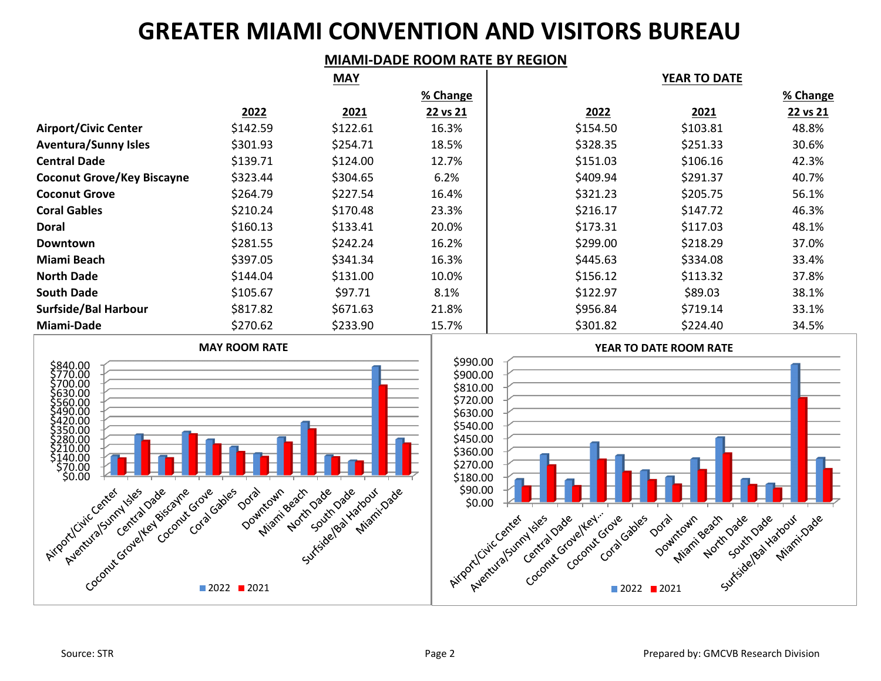# **GREATER MIAMI CONVENTION AND VISITORS BUREAU**

### **MIAMI-DADE ROOM RATE BY REGION**

|                                   | <b>MAY</b> |          |          | <b>YEAR TO DATE</b> |          |          |
|-----------------------------------|------------|----------|----------|---------------------|----------|----------|
|                                   |            |          | % Change |                     |          | % Change |
|                                   | 2022       | 2021     | 22 vs 21 | 2022                | 2021     | 22 vs 21 |
| <b>Airport/Civic Center</b>       | \$142.59   | \$122.61 | 16.3%    | \$154.50            | \$103.81 | 48.8%    |
| <b>Aventura/Sunny Isles</b>       | \$301.93   | \$254.71 | 18.5%    | \$328.35            | \$251.33 | 30.6%    |
| <b>Central Dade</b>               | \$139.71   | \$124.00 | 12.7%    | \$151.03            | \$106.16 | 42.3%    |
| <b>Coconut Grove/Key Biscayne</b> | \$323.44   | \$304.65 | 6.2%     | \$409.94            | \$291.37 | 40.7%    |
| <b>Coconut Grove</b>              | \$264.79   | \$227.54 | 16.4%    | \$321.23            | \$205.75 | 56.1%    |
| <b>Coral Gables</b>               | \$210.24   | \$170.48 | 23.3%    | \$216.17            | \$147.72 | 46.3%    |
| <b>Doral</b>                      | \$160.13   | \$133.41 | 20.0%    | \$173.31            | \$117.03 | 48.1%    |
| <b>Downtown</b>                   | \$281.55   | \$242.24 | 16.2%    | \$299.00            | \$218.29 | 37.0%    |
| Miami Beach                       | \$397.05   | \$341.34 | 16.3%    | \$445.63            | \$334.08 | 33.4%    |
| <b>North Dade</b>                 | \$144.04   | \$131.00 | 10.0%    | \$156.12            | \$113.32 | 37.8%    |
| <b>South Dade</b>                 | \$105.67   | \$97.71  | 8.1%     | \$122.97            | \$89.03  | 38.1%    |
| Surfside/Bal Harbour              | \$817.82   | \$671.63 | 21.8%    | \$956.84            | \$719.14 | 33.1%    |
| Miami-Dade                        | \$270.62   | \$233.90 | 15.7%    | \$301.82            | \$224.40 | 34.5%    |